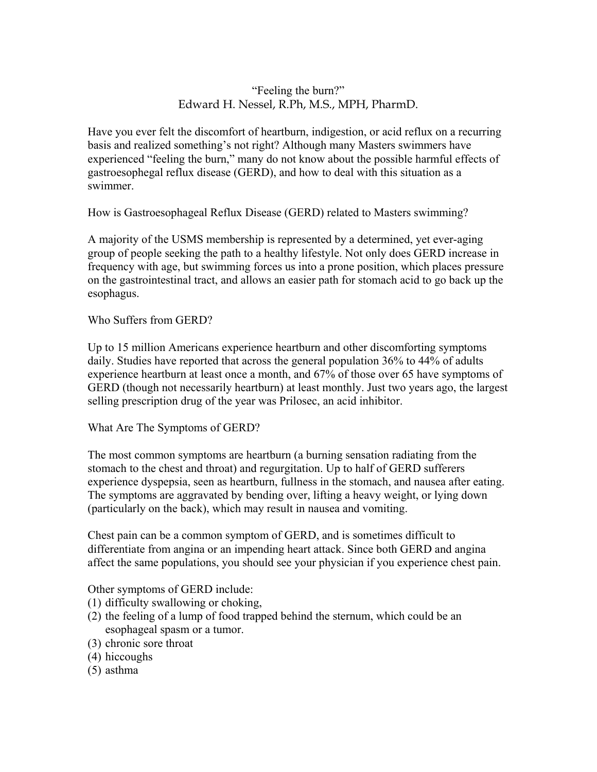## "Feeling the burn?" Edward H. Nessel, R.Ph, M.S., MPH, PharmD.

Have you ever felt the discomfort of heartburn, indigestion, or acid reflux on a recurring basis and realized something's not right? Although many Masters swimmers have experienced "feeling the burn," many do not know about the possible harmful effects of gastroesophegal reflux disease (GERD), and how to deal with this situation as a swimmer.

How is Gastroesophageal Reflux Disease (GERD) related to Masters swimming?

A majority of the USMS membership is represented by a determined, yet ever-aging group of people seeking the path to a healthy lifestyle. Not only does GERD increase in frequency with age, but swimming forces us into a prone position, which places pressure on the gastrointestinal tract, and allows an easier path for stomach acid to go back up the esophagus.

Who Suffers from GERD?

Up to 15 million Americans experience heartburn and other discomforting symptoms daily. Studies have reported that across the general population 36% to 44% of adults experience heartburn at least once a month, and 67% of those over 65 have symptoms of GERD (though not necessarily heartburn) at least monthly. Just two years ago, the largest selling prescription drug of the year was Prilosec, an acid inhibitor.

What Are The Symptoms of GERD?

The most common symptoms are heartburn (a burning sensation radiating from the stomach to the chest and throat) and regurgitation. Up to half of GERD sufferers experience dyspepsia, seen as heartburn, fullness in the stomach, and nausea after eating. The symptoms are aggravated by bending over, lifting a heavy weight, or lying down (particularly on the back), which may result in nausea and vomiting.

Chest pain can be a common symptom of GERD, and is sometimes difficult to differentiate from angina or an impending heart attack. Since both GERD and angina affect the same populations, you should see your physician if you experience chest pain.

Other symptoms of GERD include:

- (1) difficulty swallowing or choking,
- (2) the feeling of a lump of food trapped behind the sternum, which could be an esophageal spasm or a tumor.
- (3) chronic sore throat
- (4) hiccoughs
- (5) asthma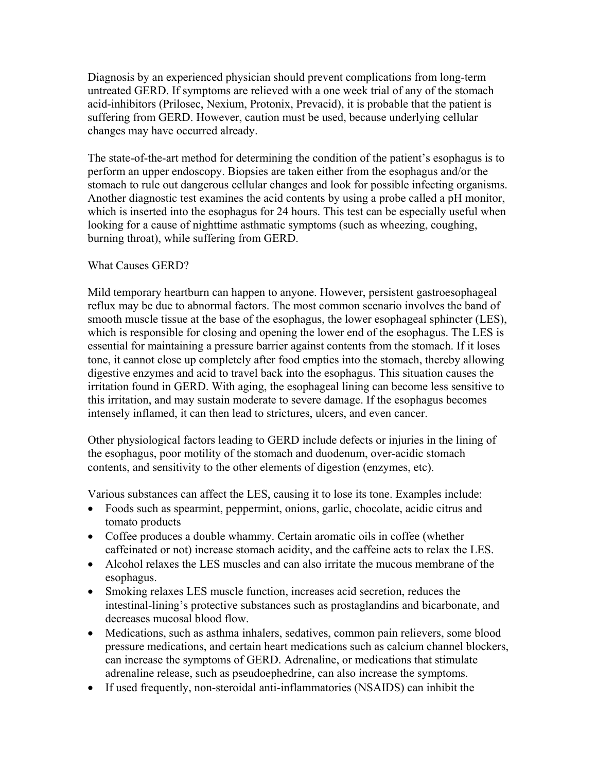Diagnosis by an experienced physician should prevent complications from long-term untreated GERD. If symptoms are relieved with a one week trial of any of the stomach acid-inhibitors (Prilosec, Nexium, Protonix, Prevacid), it is probable that the patient is suffering from GERD. However, caution must be used, because underlying cellular changes may have occurred already.

The state-of-the-art method for determining the condition of the patient's esophagus is to perform an upper endoscopy. Biopsies are taken either from the esophagus and/or the stomach to rule out dangerous cellular changes and look for possible infecting organisms. Another diagnostic test examines the acid contents by using a probe called a pH monitor, which is inserted into the esophagus for 24 hours. This test can be especially useful when looking for a cause of nighttime asthmatic symptoms (such as wheezing, coughing, burning throat), while suffering from GERD.

## What Causes GERD?

Mild temporary heartburn can happen to anyone. However, persistent gastroesophageal reflux may be due to abnormal factors. The most common scenario involves the band of smooth muscle tissue at the base of the esophagus, the lower esophageal sphincter (LES), which is responsible for closing and opening the lower end of the esophagus. The LES is essential for maintaining a pressure barrier against contents from the stomach. If it loses tone, it cannot close up completely after food empties into the stomach, thereby allowing digestive enzymes and acid to travel back into the esophagus. This situation causes the irritation found in GERD. With aging, the esophageal lining can become less sensitive to this irritation, and may sustain moderate to severe damage. If the esophagus becomes intensely inflamed, it can then lead to strictures, ulcers, and even cancer.

Other physiological factors leading to GERD include defects or injuries in the lining of the esophagus, poor motility of the stomach and duodenum, over-acidic stomach contents, and sensitivity to the other elements of digestion (enzymes, etc).

Various substances can affect the LES, causing it to lose its tone. Examples include:

- Foods such as spearmint, peppermint, onions, garlic, chocolate, acidic citrus and tomato products
- Coffee produces a double whammy. Certain aromatic oils in coffee (whether caffeinated or not) increase stomach acidity, and the caffeine acts to relax the LES.
- Alcohol relaxes the LES muscles and can also irritate the mucous membrane of the esophagus.
- Smoking relaxes LES muscle function, increases acid secretion, reduces the intestinal-lining's protective substances such as prostaglandins and bicarbonate, and decreases mucosal blood flow.
- Medications, such as asthma inhalers, sedatives, common pain relievers, some blood pressure medications, and certain heart medications such as calcium channel blockers, can increase the symptoms of GERD. Adrenaline, or medications that stimulate adrenaline release, such as pseudoephedrine, can also increase the symptoms.
- If used frequently, non-steroidal anti-inflammatories (NSAIDS) can inhibit the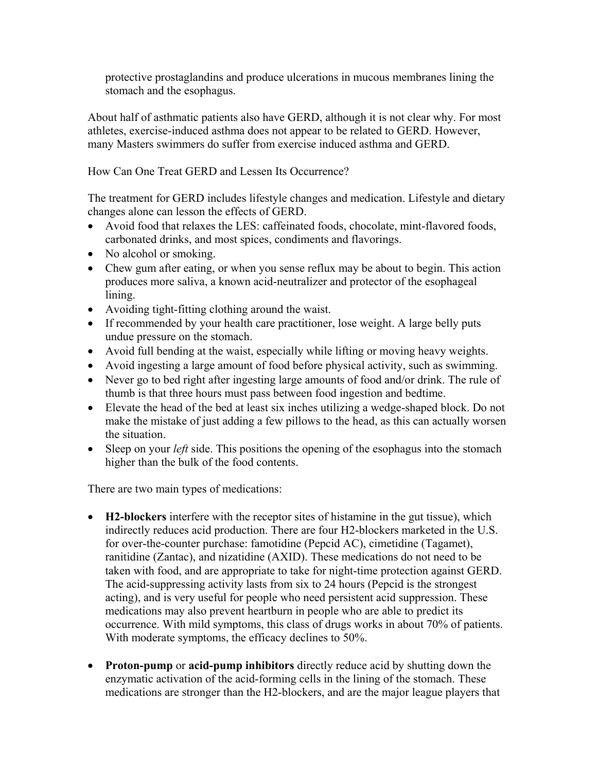protective prostaglandins and produce ulcerations in mucous membranes lining the stomach and the esophagus.

About half of asthmatic patients also have GERD, although it is not clear why. For most athletes, exercise-induced asthma does not appear to be related to GERD. However, many Masters swimmers do suffer from exercise induced asthma and GERD.

How Can One Treat GERD and Lessen Its Occurrence?

The treatment for GERD includes lifestyle changes and medication. Lifestyle and dietary changes alone can lesson the effects of GERD.

- Avoid food that relaxes the LES: caffeinated foods, chocolate, mint-flavored foods, carbonated drinks, and most spices, condiments and flavorings.
- No alcohol or smoking.
- Chew gum after eating, or when you sense reflux may be about to begin. This action produces more saliva, a known acid-neutralizer and protector of the esophageal lining.
- Avoiding tight-fitting clothing around the waist.
- If recommended by your health care practitioner, lose weight. A large belly puts undue pressure on the stomach.
- Avoid full bending at the waist, especially while lifting or moving heavy weights.
- Avoid ingesting a large amount of food before physical activity, such as swimming.
- Never go to bed right after ingesting large amounts of food and/or drink. The rule of thumb is that three hours must pass between food ingestion and bedtime.
- Elevate the head of the bed at least six inches utilizing a wedge-shaped block. Do not make the mistake of just adding a few pillows to the head, as this can actually worsen the situation.
- Sleep on your *left* side. This positions the opening of the esophagus into the stomach higher than the bulk of the food contents.

There are two main types of medications:

- **H2-blockers** interfere with the receptor sites of histamine in the gut tissue), which indirectly reduces acid production. There are four H2-blockers marketed in the U.S. for over-the-counter purchase: famotidine (Pepcid AC), cimetidine (Tagamet), ranitidine (Zantac), and nizatidine (AXID). These medications do not need to be taken with food, and are appropriate to take for night-time protection against GERD. The acid-suppressing activity lasts from six to 24 hours (Pepcid is the strongest acting), and is very useful for people who need persistent acid suppression. These medications may also prevent heartburn in people who are able to predict its occurrence. With mild symptoms, this class of drugs works in about 70% of patients. With moderate symptoms, the efficacy declines to 50%.
- **Proton-pump** or **acid-pump inhibitors** directly reduce acid by shutting down the enzymatic activation of the acid-forming cells in the lining of the stomach. These medications are stronger than the H2-blockers, and are the major league players that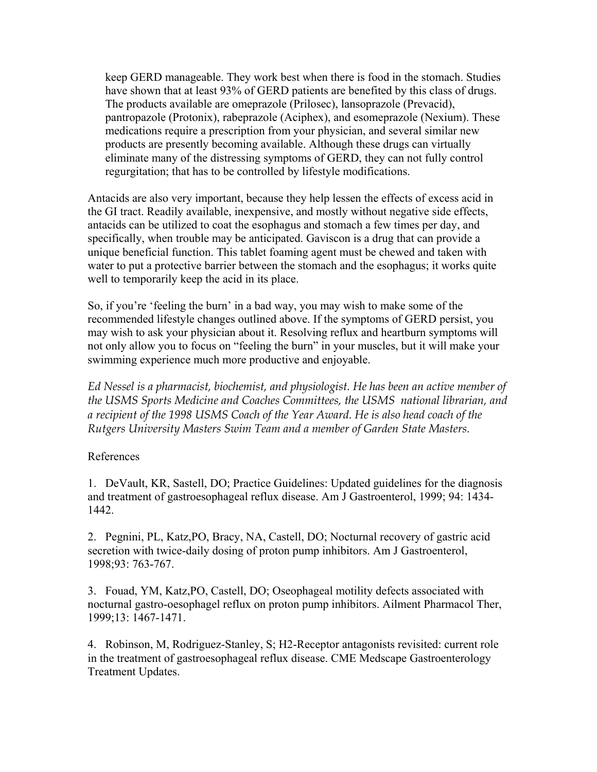keep GERD manageable. They work best when there is food in the stomach. Studies have shown that at least 93% of GERD patients are benefited by this class of drugs. The products available are omeprazole (Prilosec), lansoprazole (Prevacid), pantropazole (Protonix), rabeprazole (Aciphex), and esomeprazole (Nexium). These medications require a prescription from your physician, and several similar new products are presently becoming available. Although these drugs can virtually eliminate many of the distressing symptoms of GERD, they can not fully control regurgitation; that has to be controlled by lifestyle modifications.

Antacids are also very important, because they help lessen the effects of excess acid in the GI tract. Readily available, inexpensive, and mostly without negative side effects, antacids can be utilized to coat the esophagus and stomach a few times per day, and specifically, when trouble may be anticipated. Gaviscon is a drug that can provide a unique beneficial function. This tablet foaming agent must be chewed and taken with water to put a protective barrier between the stomach and the esophagus; it works quite well to temporarily keep the acid in its place.

So, if you're 'feeling the burn' in a bad way, you may wish to make some of the recommended lifestyle changes outlined above. If the symptoms of GERD persist, you may wish to ask your physician about it. Resolving reflux and heartburn symptoms will not only allow you to focus on "feeling the burn" in your muscles, but it will make your swimming experience much more productive and enjoyable.

*Ed Nessel is a pharmacist, biochemist, and physiologist. He has been an active member of the USMS Sports Medicine and Coaches Committees, the USMS national librarian, and a recipient of the 1998 USMS Coach of the Year Award. He is also head coach of the Rutgers University Masters Swim Team and a member of Garden State Masters.* 

## References

1. DeVault, KR, Sastell, DO; Practice Guidelines: Updated guidelines for the diagnosis and treatment of gastroesophageal reflux disease. Am J Gastroenterol, 1999; 94: 1434- 1442.

2. Pegnini, PL, Katz,PO, Bracy, NA, Castell, DO; Nocturnal recovery of gastric acid secretion with twice-daily dosing of proton pump inhibitors. Am J Gastroenterol, 1998;93: 763-767.

3. Fouad, YM, Katz,PO, Castell, DO; Oseophageal motility defects associated with nocturnal gastro-oesophagel reflux on proton pump inhibitors. Ailment Pharmacol Ther, 1999;13: 1467-1471.

4. Robinson, M, Rodriguez-Stanley, S; H2-Receptor antagonists revisited: current role in the treatment of gastroesophageal reflux disease. CME Medscape Gastroenterology Treatment Updates.